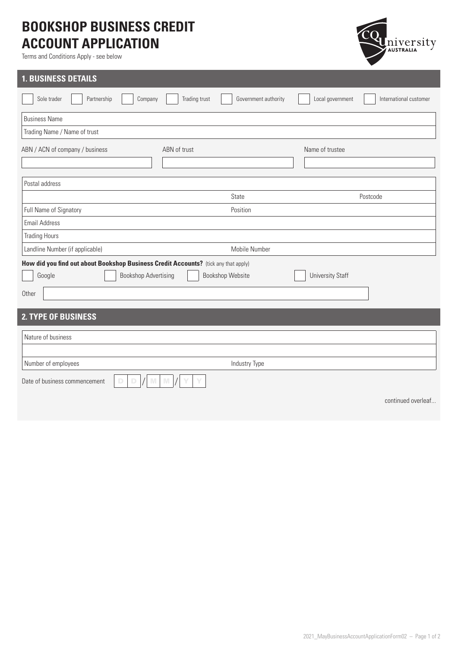## **BOOKSHOP BUSINESS CREDIT ACCOUNT APPLICATION**

Terms and Conditions Apply - see below



| <b>1. BUSINESS DETAILS</b>                                                          |                                       |                                            |
|-------------------------------------------------------------------------------------|---------------------------------------|--------------------------------------------|
| Partnership<br>Sole trader<br>Company                                               | Trading trust<br>Government authority | Local government<br>International customer |
| <b>Business Name</b>                                                                |                                       |                                            |
| Trading Name / Name of trust                                                        |                                       |                                            |
| ABN / ACN of company / business                                                     | ABN of trust                          | Name of trustee                            |
| Postal address                                                                      |                                       |                                            |
|                                                                                     | State                                 | Postcode                                   |
| Full Name of Signatory                                                              | Position                              |                                            |
| <b>Email Address</b>                                                                |                                       |                                            |
| <b>Trading Hours</b>                                                                |                                       |                                            |
| Landline Number (if applicable)                                                     | Mobile Number                         |                                            |
| How did you find out about Bookshop Business Credit Accounts? (tick any that apply) |                                       |                                            |
| <b>Bookshop Advertising</b><br>Google                                               | <b>Bookshop Website</b>               | <b>University Staff</b>                    |
| Other                                                                               |                                       |                                            |
| <b>2. TYPE OF BUSINESS</b>                                                          |                                       |                                            |
| Nature of business                                                                  |                                       |                                            |
|                                                                                     |                                       |                                            |
| Number of employees                                                                 | Industry Type                         |                                            |
| Date of business commencement<br>D<br>D                                             |                                       |                                            |
|                                                                                     |                                       | continued overleaf                         |